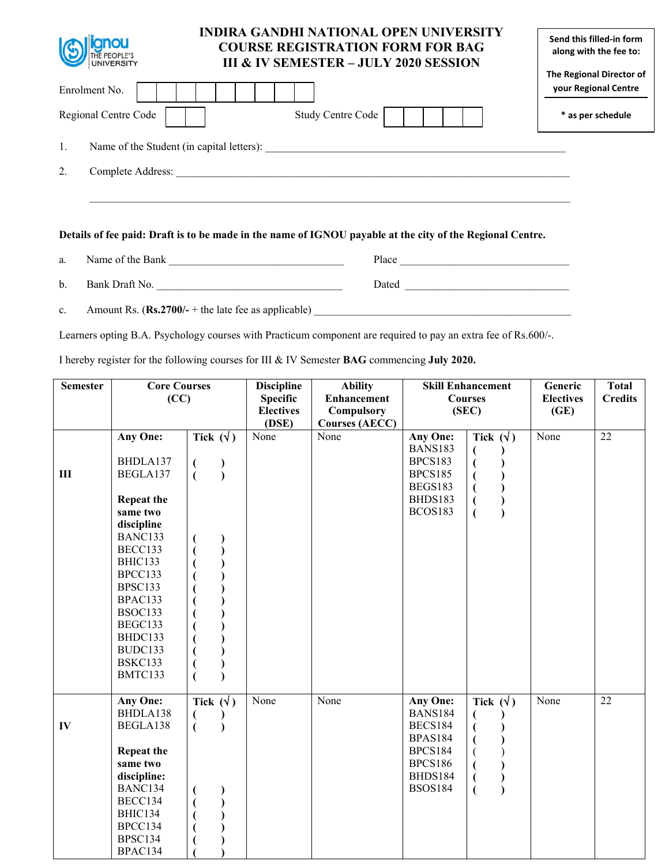| THE PEOPLE'S                                    | <b>INDIRA GANDHI NATIONAL OPEN UNIVERSITY</b><br><b>COURSE REGISTRATION FORM FOR BAG</b><br><b>III &amp; IV SEMESTER – JULY 2020 SESSION</b> | Send this filled-in form<br>along with the fee to: |
|-------------------------------------------------|----------------------------------------------------------------------------------------------------------------------------------------------|----------------------------------------------------|
| Enrolment No.                                   |                                                                                                                                              | The Regional Director of<br>your Regional Centre   |
| Regional Centre Code                            | Study Centre Code                                                                                                                            | * as per schedule                                  |
| 1.<br>Name of the Student (in capital letters): |                                                                                                                                              |                                                    |
| 2.<br>Complete Address:                         |                                                                                                                                              |                                                    |
|                                                 |                                                                                                                                              |                                                    |
|                                                 |                                                                                                                                              |                                                    |

## **Details of fee paid: Draft is to be made in the name of IGNOU payable at the city of the Regional Centre.**

a. Name of the Bank \_\_\_\_\_\_\_\_\_\_\_\_\_\_\_\_\_\_\_\_\_\_\_\_\_\_\_\_\_\_\_\_ Place \_\_\_\_\_\_\_\_\_\_\_\_\_\_\_\_\_\_\_\_\_\_\_\_\_\_\_\_\_\_\_ b. Bank Draft No. \_\_\_\_\_\_\_\_\_\_\_\_\_\_\_\_\_\_\_\_\_\_\_\_\_\_\_\_\_\_\_\_\_\_ Dated \_\_\_\_\_\_\_\_\_\_\_\_\_\_\_\_\_\_\_\_\_\_\_\_\_\_\_\_\_\_

c. Amount Rs. (Rs.2700/- + the late fee as applicable)

Learners opting B.A. Psychology courses with Practicum component are required to pay an extra fee of Rs.600/-.

I hereby register for the following courses for III & IV Semester **BAG** commencing **July 2020.** 

| <b>Semester</b> | <b>Core Courses</b> |                                                           | <b>Discipline</b> | <b>Ability</b>        | <b>Skill Enhancement</b> |                  | Generic          | <b>Total</b>    |
|-----------------|---------------------|-----------------------------------------------------------|-------------------|-----------------------|--------------------------|------------------|------------------|-----------------|
|                 | (CC)                |                                                           | <b>Specific</b>   | <b>Enhancement</b>    | <b>Courses</b>           |                  | <b>Electives</b> | <b>Credits</b>  |
|                 |                     |                                                           | <b>Electives</b>  | <b>Compulsory</b>     | (SEC)                    |                  | (GE)             |                 |
|                 |                     |                                                           | (DSE)             | <b>Courses (AECC)</b> |                          |                  |                  |                 |
|                 | Any One:            | Tick $(\forall)$                                          | None              | None                  | Any One:                 | Tick $(\forall)$ | None             | $\overline{22}$ |
|                 |                     |                                                           |                   |                       | <b>BANS183</b>           | (                |                  |                 |
|                 | BHDLA137            | $\left($<br>$\begin{smallmatrix} \cdot \end{smallmatrix}$ |                   |                       | <b>BPCS183</b>           | €                |                  |                 |
| III             | BEGLA137            | $\overline{(\ }$                                          |                   |                       | <b>BPCS185</b>           |                  |                  |                 |
|                 |                     |                                                           |                   |                       | BEGS183                  |                  |                  |                 |
|                 | <b>Repeat the</b>   |                                                           |                   |                       | BHDS183                  |                  |                  |                 |
|                 | same two            |                                                           |                   |                       | BCOS183                  |                  |                  |                 |
|                 | discipline          |                                                           |                   |                       |                          |                  |                  |                 |
|                 | BANC133             |                                                           |                   |                       |                          |                  |                  |                 |
|                 | BECC133             |                                                           |                   |                       |                          |                  |                  |                 |
|                 | BHIC133<br>BPCC133  |                                                           |                   |                       |                          |                  |                  |                 |
|                 | BPSC133             |                                                           |                   |                       |                          |                  |                  |                 |
|                 | BPAC133             |                                                           |                   |                       |                          |                  |                  |                 |
|                 | BSOC133             |                                                           |                   |                       |                          |                  |                  |                 |
|                 | BEGC133             |                                                           |                   |                       |                          |                  |                  |                 |
|                 | BHDC133             |                                                           |                   |                       |                          |                  |                  |                 |
|                 | BUDC133             |                                                           |                   |                       |                          |                  |                  |                 |
|                 | BSKC133             |                                                           |                   |                       |                          |                  |                  |                 |
|                 | BMTC133             |                                                           |                   |                       |                          |                  |                  |                 |
|                 |                     |                                                           |                   |                       |                          |                  |                  |                 |
|                 | Any One:            | Tick $(\forall)$                                          | None              | None                  | Any One:                 | Tick $(\forall)$ | None             | 22              |
|                 | BHDLA138            | $\overline{ }$                                            |                   |                       | <b>BANS184</b>           | €                |                  |                 |
| IV              | BEGLA138            | $\overline{(}$                                            |                   |                       | <b>BECS184</b>           |                  |                  |                 |
|                 |                     |                                                           |                   |                       | <b>BPAS184</b>           |                  |                  |                 |
|                 | <b>Repeat the</b>   |                                                           |                   |                       | <b>BPCS184</b>           |                  |                  |                 |
|                 | same two            |                                                           |                   |                       | <b>BPCS186</b>           |                  |                  |                 |
|                 | discipline:         |                                                           |                   |                       | BHDS184                  |                  |                  |                 |
|                 | BANC134             | €                                                         |                   |                       | <b>BSOS184</b>           |                  |                  |                 |
|                 | BECC134             |                                                           |                   |                       |                          |                  |                  |                 |
|                 | BHIC134             |                                                           |                   |                       |                          |                  |                  |                 |
|                 | BPCC134             |                                                           |                   |                       |                          |                  |                  |                 |
|                 | BPSC134             |                                                           |                   |                       |                          |                  |                  |                 |
|                 | BPAC134             |                                                           |                   |                       |                          |                  |                  |                 |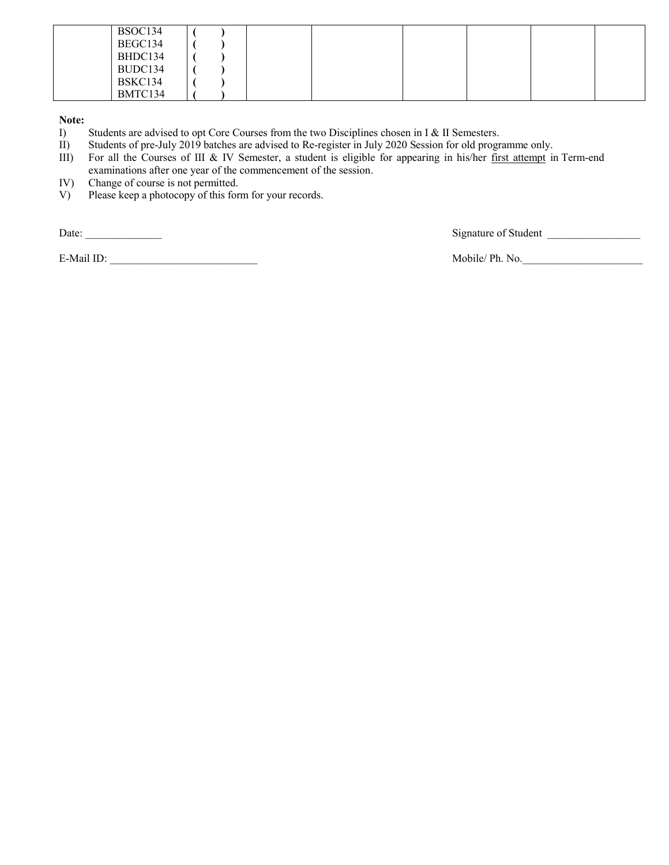| BSOC134 |  |  |  |  |
|---------|--|--|--|--|
| BEGC134 |  |  |  |  |
| BHDC134 |  |  |  |  |
| BUDC134 |  |  |  |  |
| BSKC134 |  |  |  |  |
| BMTC134 |  |  |  |  |

**Note:** 

I) Students are advised to opt Core Courses from the two Disciplines chosen in I & II Semesters.

II) Students of pre-July 2019 batches are advised to Re-register in July 2020 Session for old programme only.

- III) For all the Courses of III & IV Semester, a student is eligible for appearing in his/her first attempt in Term-end examinations after one year of the commencement of the session.
- IV) Change of course is not permitted.
- V) Please keep a photocopy of this form for your records.

E-Mail ID: \_\_\_\_\_\_\_\_\_\_\_\_\_\_\_\_\_\_\_\_\_\_\_\_\_\_\_ Mobile/ Ph. No.\_\_\_\_\_\_\_\_\_\_\_\_\_\_\_\_\_\_\_\_\_\_

Date: \_\_\_\_\_\_\_\_\_\_\_\_\_\_ Signature of Student \_\_\_\_\_\_\_\_\_\_\_\_\_\_\_\_\_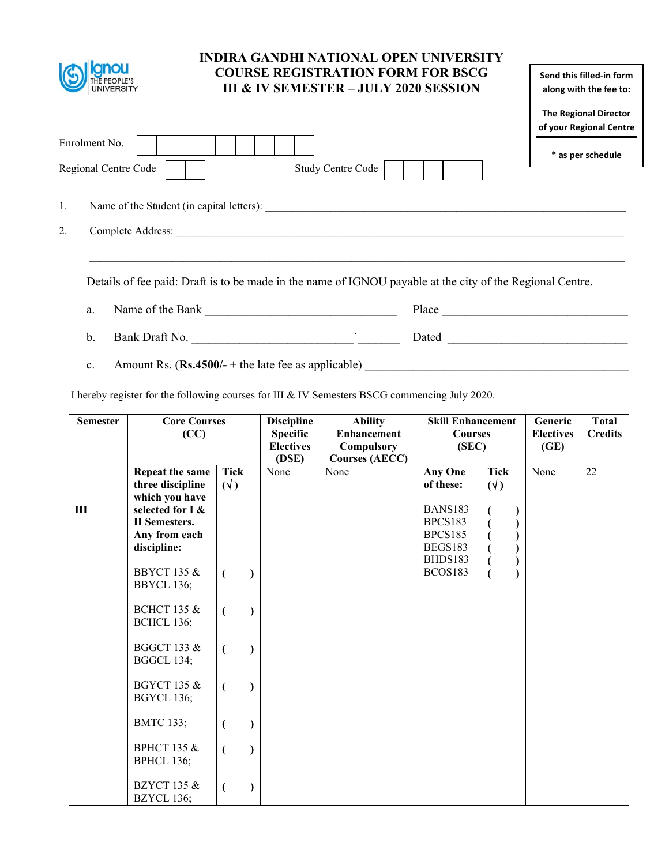|                         | <b>INDIRA GANDHI NATIONAL OPEN UNIVERSITY</b><br><b>COURSE REGISTRATION FORM FOR BSCG</b><br><b>III &amp; IV SEMESTER – JULY 2020 SESSION</b> | Send this filled-in form<br>along with the fee to:      |  |  |
|-------------------------|-----------------------------------------------------------------------------------------------------------------------------------------------|---------------------------------------------------------|--|--|
|                         |                                                                                                                                               | <b>The Regional Director</b><br>of your Regional Centre |  |  |
| Enrolment No.           |                                                                                                                                               | * as per schedule                                       |  |  |
| Regional Centre Code    | Study Centre Code                                                                                                                             |                                                         |  |  |
| 1.                      | Name of the Student (in capital letters):                                                                                                     |                                                         |  |  |
| 2.<br>Complete Address: |                                                                                                                                               |                                                         |  |  |
|                         |                                                                                                                                               |                                                         |  |  |
|                         | Details of fee paid: Draft is to be made in the name of IGNOU payable at the city of the Regional Centre.                                     |                                                         |  |  |

- a. Name of the Bank \_\_\_\_\_\_\_\_\_\_\_\_\_\_\_\_\_\_\_\_\_\_\_\_\_\_\_\_\_\_\_\_ Place \_\_\_\_\_\_\_\_\_\_\_\_\_\_\_\_\_\_\_\_\_\_\_\_\_\_\_\_\_\_\_ b. Bank Draft No. \_\_\_\_\_\_\_\_\_\_\_\_\_\_\_\_\_\_\_\_\_\_\_\_\_\_\_`\_\_\_\_\_\_\_ Dated \_\_\_\_\_\_\_\_\_\_\_\_\_\_\_\_\_\_\_\_\_\_\_\_\_\_\_\_\_\_
- c. Amount Rs.  $(\mathbf{Rs.4500/-} + \text{the late fee as applicable})$

I hereby register for the following courses for III & IV Semesters BSCG commencing July 2020.

| <b>Semester</b> | <b>Core Courses</b><br>(CC)                                                                                        |                         | <b>Discipline</b><br><b>Specific</b><br><b>Electives</b> | <b>Ability</b><br><b>Enhancement</b><br>Compulsory | <b>Skill Enhancement</b><br><b>Courses</b><br>(SEC)                        |                         | Generic<br><b>Electives</b><br>(GE) | <b>Total</b><br><b>Credits</b> |
|-----------------|--------------------------------------------------------------------------------------------------------------------|-------------------------|----------------------------------------------------------|----------------------------------------------------|----------------------------------------------------------------------------|-------------------------|-------------------------------------|--------------------------------|
|                 |                                                                                                                    |                         | (DSE)                                                    | <b>Courses (AECC)</b>                              |                                                                            |                         |                                     |                                |
| III             | Repeat the same<br>three discipline<br>which you have<br>selected for I &<br><b>II</b> Semesters.<br>Any from each | <b>Tick</b><br>$(\vee)$ | None                                                     | None                                               | <b>Any One</b><br>of these:<br><b>BANS183</b><br>BPCS183<br><b>BPCS185</b> | <b>Tick</b><br>$(\vee)$ | None                                | 22                             |
|                 | discipline:                                                                                                        |                         |                                                          |                                                    | BEGS183                                                                    |                         |                                     |                                |
|                 | <b>BBYCT 135 &amp;</b><br>BBYCL 136;                                                                               |                         |                                                          |                                                    | BHDS183<br>BCOS183                                                         | $\overline{(}$          |                                     |                                |
|                 | <b>BCHCT 135 &amp;</b><br><b>BCHCL 136;</b>                                                                        |                         |                                                          |                                                    |                                                                            |                         |                                     |                                |
|                 | <b>BGGCT 133 &amp;</b><br><b>BGGCL 134;</b>                                                                        |                         |                                                          |                                                    |                                                                            |                         |                                     |                                |
|                 | <b>BGYCT 135 &amp;</b><br><b>BGYCL 136;</b>                                                                        |                         |                                                          |                                                    |                                                                            |                         |                                     |                                |
|                 | <b>BMTC 133;</b>                                                                                                   |                         |                                                          |                                                    |                                                                            |                         |                                     |                                |
|                 | <b>BPHCT 135 &amp;</b><br><b>BPHCL 136;</b>                                                                        |                         |                                                          |                                                    |                                                                            |                         |                                     |                                |
|                 | <b>BZYCT 135 &amp;</b><br>BZYCL 136;                                                                               |                         |                                                          |                                                    |                                                                            |                         |                                     |                                |